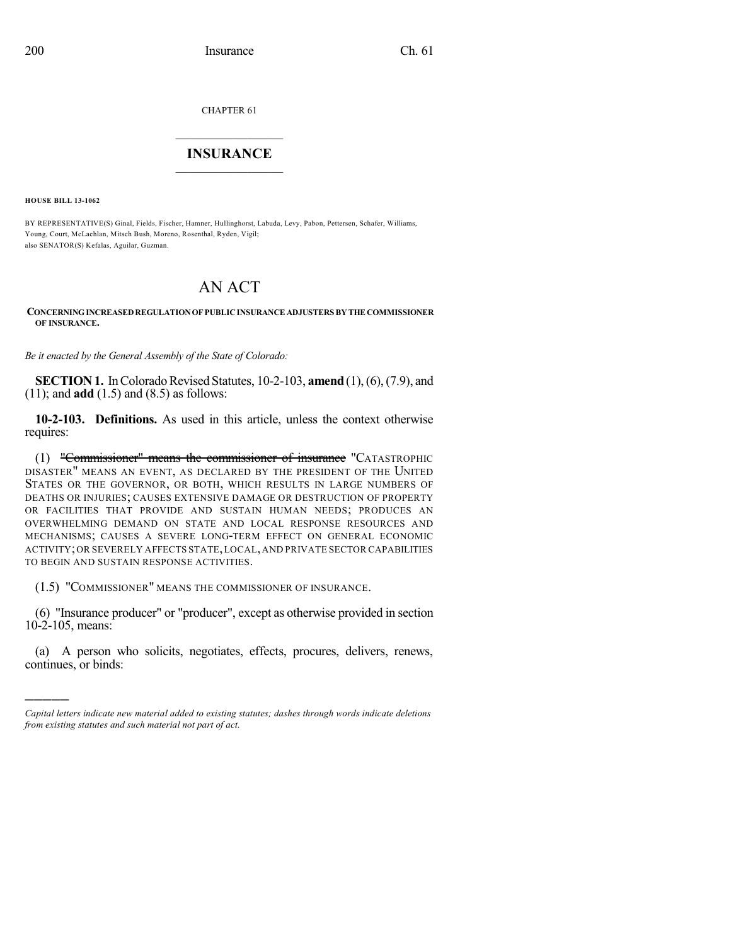CHAPTER 61

## $\mathcal{L}_\text{max}$  . The set of the set of the set of the set of the set of the set of the set of the set of the set of the set of the set of the set of the set of the set of the set of the set of the set of the set of the set **INSURANCE**  $\frac{1}{2}$  ,  $\frac{1}{2}$  ,  $\frac{1}{2}$  ,  $\frac{1}{2}$  ,  $\frac{1}{2}$  ,  $\frac{1}{2}$  ,  $\frac{1}{2}$

**HOUSE BILL 13-1062**

)))))

BY REPRESENTATIVE(S) Ginal, Fields, Fischer, Hamner, Hullinghorst, Labuda, Levy, Pabon, Pettersen, Schafer, Williams, Young, Court, McLachlan, Mitsch Bush, Moreno, Rosenthal, Ryden, Vigil; also SENATOR(S) Kefalas, Aguilar, Guzman.

## AN ACT

**CONCERNINGINCREASEDREGULATIONOF PUBLICINSURANCE ADJUSTERS BY THE COMMISSIONER OF INSURANCE.**

*Be it enacted by the General Assembly of the State of Colorado:*

**SECTION 1.** In Colorado Revised Statutes, 10-2-103, **amend** (1), (6), (7.9), and (11); and **add** (1.5) and (8.5) as follows:

**10-2-103. Definitions.** As used in this article, unless the context otherwise requires:

(1) "Commissioner" means the commissioner of insurance "CATASTROPHIC DISASTER" MEANS AN EVENT, AS DECLARED BY THE PRESIDENT OF THE UNITED STATES OR THE GOVERNOR, OR BOTH, WHICH RESULTS IN LARGE NUMBERS OF DEATHS OR INJURIES; CAUSES EXTENSIVE DAMAGE OR DESTRUCTION OF PROPERTY OR FACILITIES THAT PROVIDE AND SUSTAIN HUMAN NEEDS; PRODUCES AN OVERWHELMING DEMAND ON STATE AND LOCAL RESPONSE RESOURCES AND MECHANISMS; CAUSES A SEVERE LONG-TERM EFFECT ON GENERAL ECONOMIC ACTIVITY;OR SEVERELY AFFECTS STATE,LOCAL,AND PRIVATE SECTOR CAPABILITIES TO BEGIN AND SUSTAIN RESPONSE ACTIVITIES.

(1.5) "COMMISSIONER" MEANS THE COMMISSIONER OF INSURANCE.

(6) "Insurance producer" or "producer", except as otherwise provided in section 10-2-105, means:

(a) A person who solicits, negotiates, effects, procures, delivers, renews, continues, or binds:

*Capital letters indicate new material added to existing statutes; dashes through words indicate deletions from existing statutes and such material not part of act.*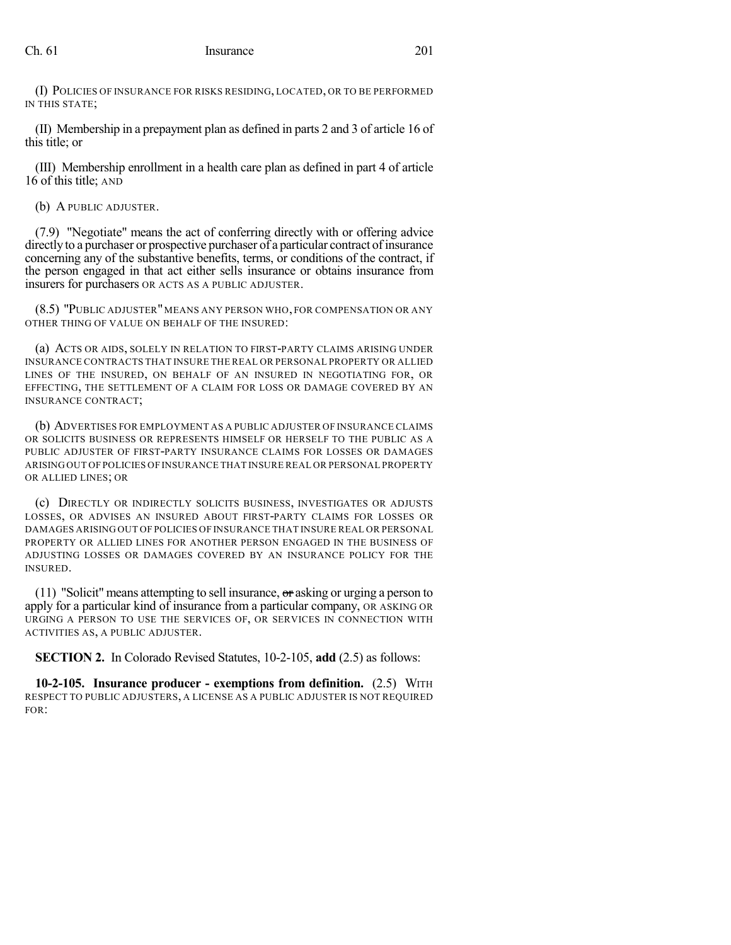(I) POLICIES OF INSURANCE FOR RISKS RESIDING, LOCATED, OR TO BE PERFORMED IN THIS STATE;

(II) Membership in a prepayment plan as defined in parts 2 and 3 of article 16 of this title; or

(III) Membership enrollment in a health care plan as defined in part 4 of article 16 of this title; AND

(b) A PUBLIC ADJUSTER.

(7.9) "Negotiate" means the act of conferring directly with or offering advice directly to a purchaser or prospective purchaser of a particular contract of insurance concerning any of the substantive benefits, terms, or conditions of the contract, if the person engaged in that act either sells insurance or obtains insurance from insurers for purchasers OR ACTS AS A PUBLIC ADJUSTER.

(8.5) "PUBLIC ADJUSTER"MEANS ANY PERSON WHO, FOR COMPENSATION OR ANY OTHER THING OF VALUE ON BEHALF OF THE INSURED:

(a) ACTS OR AIDS, SOLELY IN RELATION TO FIRST-PARTY CLAIMS ARISING UNDER INSURANCE CONTRACTS THAT INSURE THE REAL OR PERSONAL PROPERTY OR ALLIED LINES OF THE INSURED, ON BEHALF OF AN INSURED IN NEGOTIATING FOR, OR EFFECTING, THE SETTLEMENT OF A CLAIM FOR LOSS OR DAMAGE COVERED BY AN INSURANCE CONTRACT;

(b) ADVERTISES FOR EMPLOYMENT AS A PUBLIC ADJUSTER OF INSURANCE CLAIMS OR SOLICITS BUSINESS OR REPRESENTS HIMSELF OR HERSELF TO THE PUBLIC AS A PUBLIC ADJUSTER OF FIRST-PARTY INSURANCE CLAIMS FOR LOSSES OR DAMAGES ARISING OUT OF POLICIES OF INSURANCE THAT INSURE REAL OR PERSONAL PROPERTY OR ALLIED LINES; OR

(c) DIRECTLY OR INDIRECTLY SOLICITS BUSINESS, INVESTIGATES OR ADJUSTS LOSSES, OR ADVISES AN INSURED ABOUT FIRST-PARTY CLAIMS FOR LOSSES OR DAMAGES ARISING OUT OF POLICIES OF INSURANCE THAT INSURE REAL OR PERSONAL PROPERTY OR ALLIED LINES FOR ANOTHER PERSON ENGAGED IN THE BUSINESS OF ADJUSTING LOSSES OR DAMAGES COVERED BY AN INSURANCE POLICY FOR THE INSURED.

(11) "Solicit" means attempting to sell insurance, or asking or urging a person to apply for a particular kind of insurance from a particular company, OR ASKING OR URGING A PERSON TO USE THE SERVICES OF, OR SERVICES IN CONNECTION WITH ACTIVITIES AS, A PUBLIC ADJUSTER.

**SECTION 2.** In Colorado Revised Statutes, 10-2-105, **add** (2.5) as follows:

**10-2-105. Insurance producer - exemptions from definition.** (2.5) WITH RESPECT TO PUBLIC ADJUSTERS, A LICENSE AS A PUBLIC ADJUSTER IS NOT REQUIRED FOR: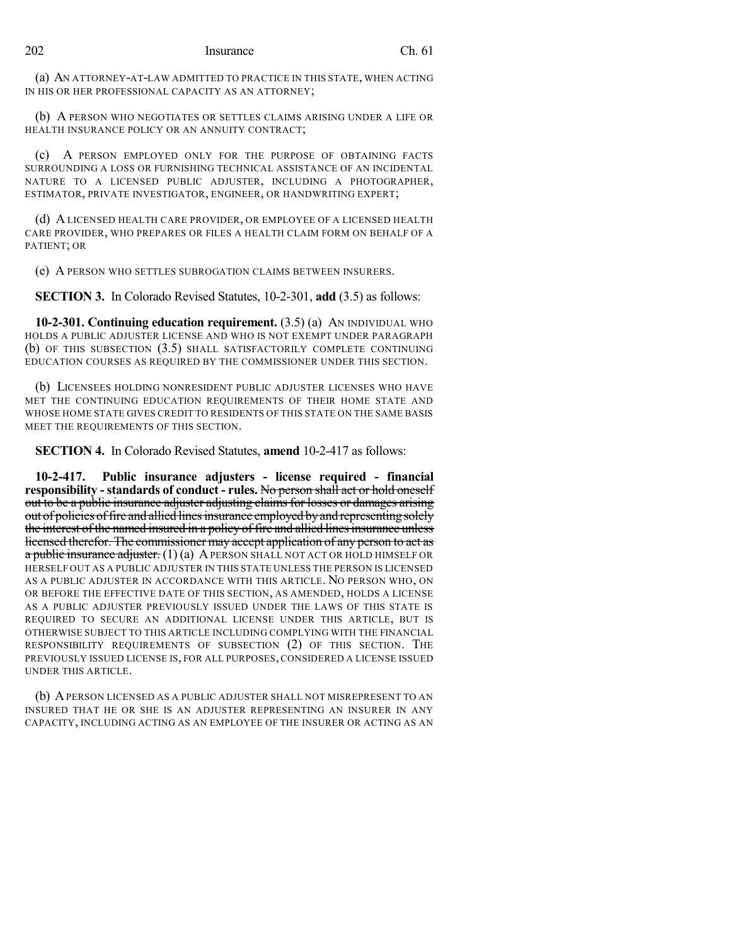(a) AN ATTORNEY-AT-LAW ADMITTED TO PRACTICE IN THIS STATE, WHEN ACTING IN HIS OR HER PROFESSIONAL CAPACITY AS AN ATTORNEY;

(b) A PERSON WHO NEGOTIATES OR SETTLES CLAIMS ARISING UNDER A LIFE OR HEALTH INSURANCE POLICY OR AN ANNUITY CONTRACT;

(c) A PERSON EMPLOYED ONLY FOR THE PURPOSE OF OBTAINING FACTS SURROUNDING A LOSS OR FURNISHING TECHNICAL ASSISTANCE OF AN INCIDENTAL NATURE TO A LICENSED PUBLIC ADJUSTER, INCLUDING A PHOTOGRAPHER, ESTIMATOR, PRIVATE INVESTIGATOR, ENGINEER, OR HANDWRITING EXPERT;

(d) A LICENSED HEALTH CARE PROVIDER, OR EMPLOYEE OF A LICENSED HEALTH CARE PROVIDER, WHO PREPARES OR FILES A HEALTH CLAIM FORM ON BEHALF OF A PATIENT; OR

(e) A PERSON WHO SETTLES SUBROGATION CLAIMS BETWEEN INSURERS.

**SECTION 3.** In Colorado Revised Statutes, 10-2-301, **add** (3.5) as follows:

**10-2-301. Continuing education requirement.** (3.5) (a) AN INDIVIDUAL WHO HOLDS A PUBLIC ADJUSTER LICENSE AND WHO IS NOT EXEMPT UNDER PARAGRAPH (b) OF THIS SUBSECTION (3.5) SHALL SATISFACTORILY COMPLETE CONTINUING EDUCATION COURSES AS REQUIRED BY THE COMMISSIONER UNDER THIS SECTION.

(b) LICENSEES HOLDING NONRESIDENT PUBLIC ADJUSTER LICENSES WHO HAVE MET THE CONTINUING EDUCATION REQUIREMENTS OF THEIR HOME STATE AND WHOSE HOME STATE GIVES CREDIT TO RESIDENTS OF THIS STATE ON THE SAME BASIS MEET THE REQUIREMENTS OF THIS SECTION.

**SECTION 4.** In Colorado Revised Statutes, **amend** 10-2-417 as follows:

**10-2-417. Public insurance adjusters - license required - financial responsibility -standards of conduct - rules.** No person shall act or hold oneself out to be a public insurance adjuster adjusting claimsfor losses or damages arising out of policies offire and allied linesinsurance employed byand representing solely the interest of the named insured in a policy of fire and allied lines insurance unless licensed therefor. The commissioner may accept application of any person to act as  $a$  public insurance adjuster. (1) (a) A PERSON SHALL NOT ACT OR HOLD HIMSELF OR HERSELF OUT AS A PUBLIC ADJUSTER IN THIS STATE UNLESS THE PERSON IS LICENSED AS A PUBLIC ADJUSTER IN ACCORDANCE WITH THIS ARTICLE. NO PERSON WHO, ON OR BEFORE THE EFFECTIVE DATE OF THIS SECTION, AS AMENDED, HOLDS A LICENSE AS A PUBLIC ADJUSTER PREVIOUSLY ISSUED UNDER THE LAWS OF THIS STATE IS REQUIRED TO SECURE AN ADDITIONAL LICENSE UNDER THIS ARTICLE, BUT IS OTHERWISE SUBJECT TO THIS ARTICLE INCLUDING COMPLYING WITH THE FINANCIAL RESPONSIBILITY REQUIREMENTS OF SUBSECTION (2) OF THIS SECTION. THE PREVIOUSLY ISSUED LICENSE IS, FOR ALL PURPOSES, CONSIDERED A LICENSE ISSUED UNDER THIS ARTICLE.

(b) APERSON LICENSED AS A PUBLIC ADJUSTER SHALL NOT MISREPRESENT TO AN INSURED THAT HE OR SHE IS AN ADJUSTER REPRESENTING AN INSURER IN ANY CAPACITY, INCLUDING ACTING AS AN EMPLOYEE OF THE INSURER OR ACTING AS AN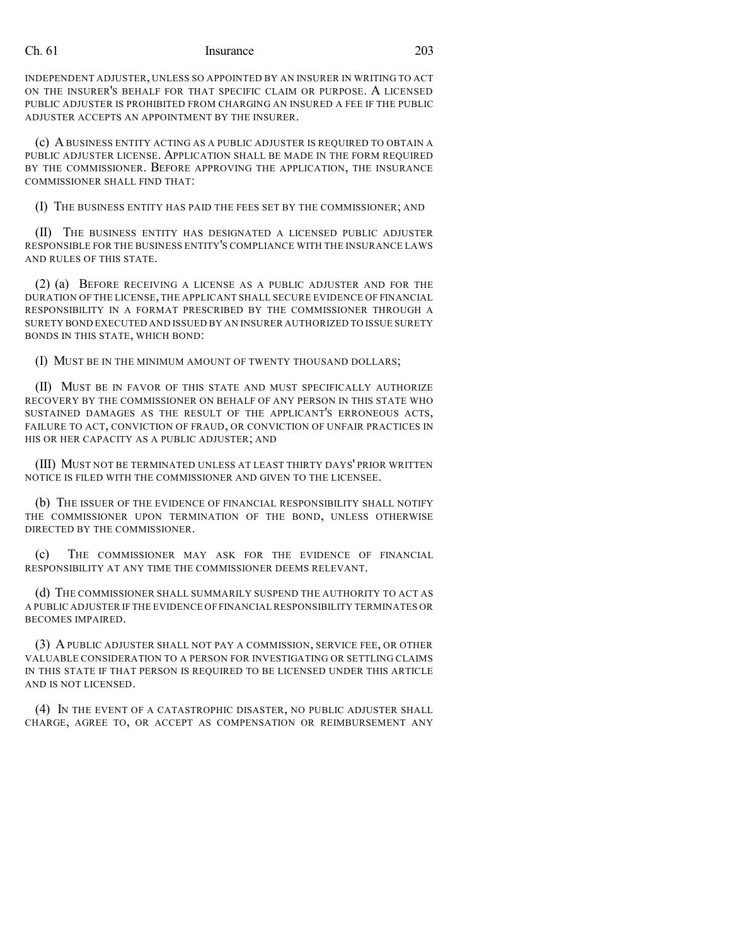## Ch. 61 Insurance 203

INDEPENDENT ADJUSTER, UNLESS SO APPOINTED BY AN INSURER IN WRITING TO ACT ON THE INSURER'S BEHALF FOR THAT SPECIFIC CLAIM OR PURPOSE. A LICENSED PUBLIC ADJUSTER IS PROHIBITED FROM CHARGING AN INSURED A FEE IF THE PUBLIC ADJUSTER ACCEPTS AN APPOINTMENT BY THE INSURER.

(c) ABUSINESS ENTITY ACTING AS A PUBLIC ADJUSTER IS REQUIRED TO OBTAIN A PUBLIC ADJUSTER LICENSE. APPLICATION SHALL BE MADE IN THE FORM REQUIRED BY THE COMMISSIONER. BEFORE APPROVING THE APPLICATION, THE INSURANCE COMMISSIONER SHALL FIND THAT:

(I) THE BUSINESS ENTITY HAS PAID THE FEES SET BY THE COMMISSIONER; AND

(II) THE BUSINESS ENTITY HAS DESIGNATED A LICENSED PUBLIC ADJUSTER RESPONSIBLE FOR THE BUSINESS ENTITY'S COMPLIANCE WITH THE INSURANCE LAWS AND RULES OF THIS STATE.

(2) (a) BEFORE RECEIVING A LICENSE AS A PUBLIC ADJUSTER AND FOR THE DURATION OF THE LICENSE, THE APPLICANT SHALL SECURE EVIDENCE OF FINANCIAL RESPONSIBILITY IN A FORMAT PRESCRIBED BY THE COMMISSIONER THROUGH A SURETY BOND EXECUTED AND ISSUED BY AN INSURER AUTHORIZED TO ISSUE SURETY BONDS IN THIS STATE, WHICH BOND:

(I) MUST BE IN THE MINIMUM AMOUNT OF TWENTY THOUSAND DOLLARS;

(II) MUST BE IN FAVOR OF THIS STATE AND MUST SPECIFICALLY AUTHORIZE RECOVERY BY THE COMMISSIONER ON BEHALF OF ANY PERSON IN THIS STATE WHO SUSTAINED DAMAGES AS THE RESULT OF THE APPLICANT'S ERRONEOUS ACTS, FAILURE TO ACT, CONVICTION OF FRAUD, OR CONVICTION OF UNFAIR PRACTICES IN HIS OR HER CAPACITY AS A PUBLIC ADJUSTER; AND

(III) MUST NOT BE TERMINATED UNLESS AT LEAST THIRTY DAYS' PRIOR WRITTEN NOTICE IS FILED WITH THE COMMISSIONER AND GIVEN TO THE LICENSEE.

(b) THE ISSUER OF THE EVIDENCE OF FINANCIAL RESPONSIBILITY SHALL NOTIFY THE COMMISSIONER UPON TERMINATION OF THE BOND, UNLESS OTHERWISE DIRECTED BY THE COMMISSIONER.

(c) THE COMMISSIONER MAY ASK FOR THE EVIDENCE OF FINANCIAL RESPONSIBILITY AT ANY TIME THE COMMISSIONER DEEMS RELEVANT.

(d) THE COMMISSIONER SHALL SUMMARILY SUSPEND THE AUTHORITY TO ACT AS A PUBLIC ADJUSTER IF THE EVIDENCE OF FINANCIAL RESPONSIBILITY TERMINATES OR BECOMES IMPAIRED.

(3) A PUBLIC ADJUSTER SHALL NOT PAY A COMMISSION, SERVICE FEE, OR OTHER VALUABLE CONSIDERATION TO A PERSON FOR INVESTIGATING OR SETTLING CLAIMS IN THIS STATE IF THAT PERSON IS REQUIRED TO BE LICENSED UNDER THIS ARTICLE AND IS NOT LICENSED.

(4) IN THE EVENT OF A CATASTROPHIC DISASTER, NO PUBLIC ADJUSTER SHALL CHARGE, AGREE TO, OR ACCEPT AS COMPENSATION OR REIMBURSEMENT ANY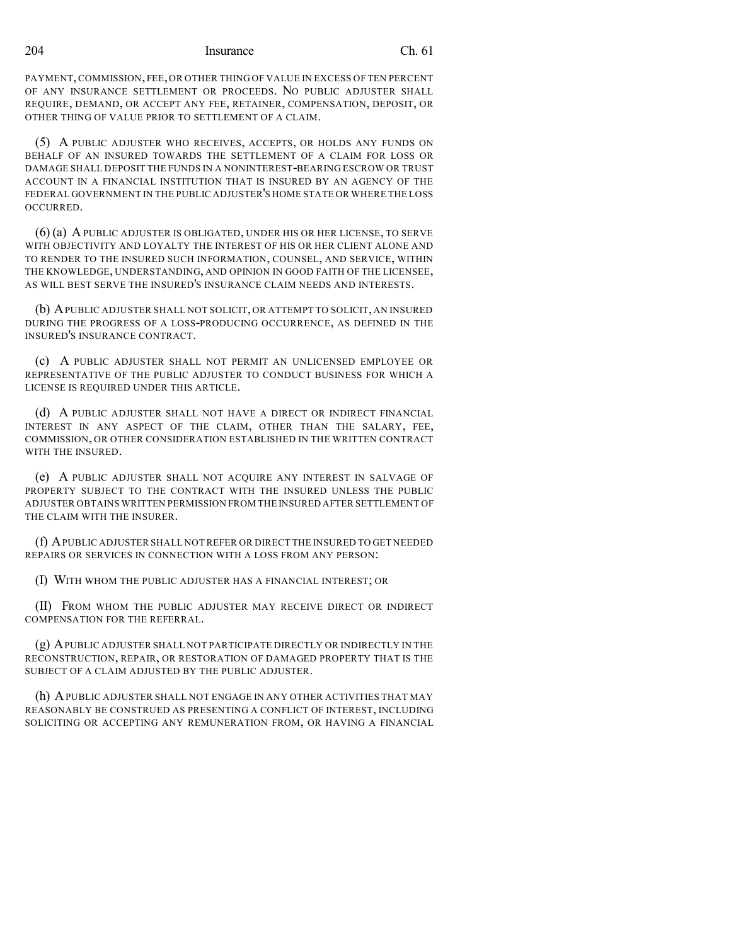204 Insurance Ch. 61

PAYMENT, COMMISSION, FEE, OR OTHER THING OF VALUE IN EXCESS OF TEN PERCENT OF ANY INSURANCE SETTLEMENT OR PROCEEDS. NO PUBLIC ADJUSTER SHALL REQUIRE, DEMAND, OR ACCEPT ANY FEE, RETAINER, COMPENSATION, DEPOSIT, OR OTHER THING OF VALUE PRIOR TO SETTLEMENT OF A CLAIM.

(5) A PUBLIC ADJUSTER WHO RECEIVES, ACCEPTS, OR HOLDS ANY FUNDS ON BEHALF OF AN INSURED TOWARDS THE SETTLEMENT OF A CLAIM FOR LOSS OR DAMAGE SHALL DEPOSIT THE FUNDS IN A NONINTEREST-BEARING ESCROW OR TRUST ACCOUNT IN A FINANCIAL INSTITUTION THAT IS INSURED BY AN AGENCY OF THE FEDERAL GOVERNMENT IN THE PUBLIC ADJUSTER'S HOME STATE OR WHERE THE LOSS OCCURRED.

(6) (a) A PUBLIC ADJUSTER IS OBLIGATED, UNDER HIS OR HER LICENSE, TO SERVE WITH OBJECTIVITY AND LOYALTY THE INTEREST OF HIS OR HER CLIENT ALONE AND TO RENDER TO THE INSURED SUCH INFORMATION, COUNSEL, AND SERVICE, WITHIN THE KNOWLEDGE, UNDERSTANDING, AND OPINION IN GOOD FAITH OF THE LICENSEE, AS WILL BEST SERVE THE INSURED'S INSURANCE CLAIM NEEDS AND INTERESTS.

(b) APUBLIC ADJUSTER SHALL NOT SOLICIT, OR ATTEMPT TO SOLICIT, AN INSURED DURING THE PROGRESS OF A LOSS-PRODUCING OCCURRENCE, AS DEFINED IN THE INSURED'S INSURANCE CONTRACT.

(c) A PUBLIC ADJUSTER SHALL NOT PERMIT AN UNLICENSED EMPLOYEE OR REPRESENTATIVE OF THE PUBLIC ADJUSTER TO CONDUCT BUSINESS FOR WHICH A LICENSE IS REQUIRED UNDER THIS ARTICLE.

(d) A PUBLIC ADJUSTER SHALL NOT HAVE A DIRECT OR INDIRECT FINANCIAL INTEREST IN ANY ASPECT OF THE CLAIM, OTHER THAN THE SALARY, FEE, COMMISSION, OR OTHER CONSIDERATION ESTABLISHED IN THE WRITTEN CONTRACT WITH THE INSURED.

(e) A PUBLIC ADJUSTER SHALL NOT ACQUIRE ANY INTEREST IN SALVAGE OF PROPERTY SUBJECT TO THE CONTRACT WITH THE INSURED UNLESS THE PUBLIC ADJUSTER OBTAINS WRITTEN PERMISSION FROM THE INSURED AFTER SETTLEMENT OF THE CLAIM WITH THE INSURER.

(f) APUBLIC ADJUSTER SHALL NOTREFER OR DIRECT THE INSURED TO GET NEEDED REPAIRS OR SERVICES IN CONNECTION WITH A LOSS FROM ANY PERSON:

(I) WITH WHOM THE PUBLIC ADJUSTER HAS A FINANCIAL INTEREST; OR

(II) FROM WHOM THE PUBLIC ADJUSTER MAY RECEIVE DIRECT OR INDIRECT COMPENSATION FOR THE REFERRAL.

(g) APUBLIC ADJUSTER SHALL NOT PARTICIPATE DIRECTLY OR INDIRECTLY IN THE RECONSTRUCTION, REPAIR, OR RESTORATION OF DAMAGED PROPERTY THAT IS THE SUBJECT OF A CLAIM ADJUSTED BY THE PUBLIC ADJUSTER.

(h) APUBLIC ADJUSTER SHALL NOT ENGAGE IN ANY OTHER ACTIVITIES THAT MAY REASONABLY BE CONSTRUED AS PRESENTING A CONFLICT OF INTEREST, INCLUDING SOLICITING OR ACCEPTING ANY REMUNERATION FROM, OR HAVING A FINANCIAL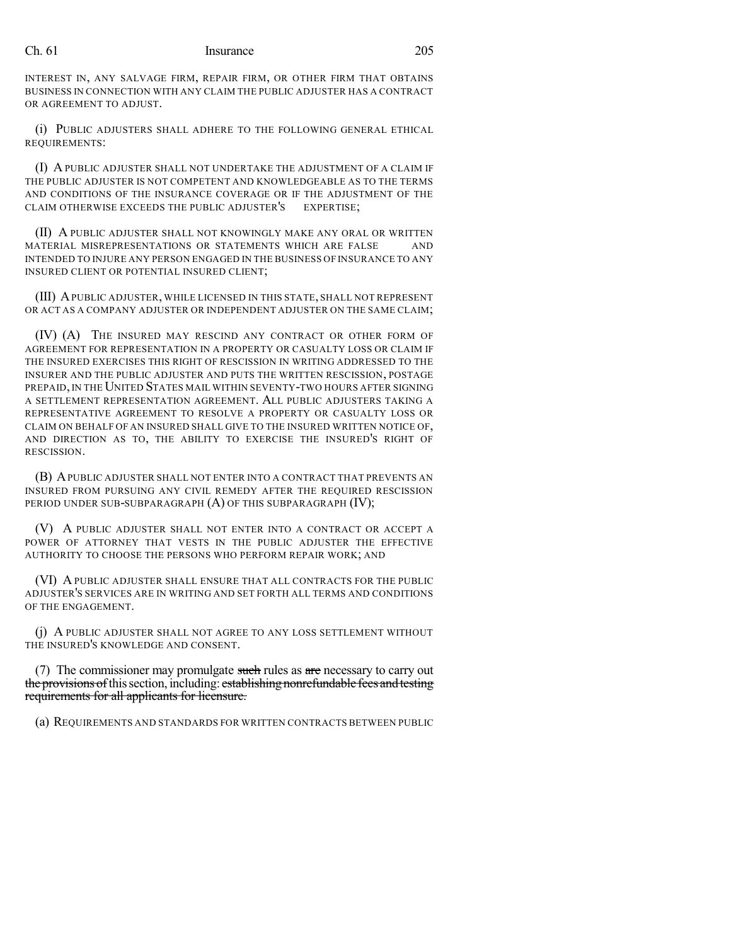## Ch. 61 Insurance 205

INTEREST IN, ANY SALVAGE FIRM, REPAIR FIRM, OR OTHER FIRM THAT OBTAINS BUSINESS IN CONNECTION WITH ANY CLAIM THE PUBLIC ADJUSTER HAS A CONTRACT OR AGREEMENT TO ADJUST.

(i) PUBLIC ADJUSTERS SHALL ADHERE TO THE FOLLOWING GENERAL ETHICAL REQUIREMENTS:

(I) A PUBLIC ADJUSTER SHALL NOT UNDERTAKE THE ADJUSTMENT OF A CLAIM IF THE PUBLIC ADJUSTER IS NOT COMPETENT AND KNOWLEDGEABLE AS TO THE TERMS AND CONDITIONS OF THE INSURANCE COVERAGE OR IF THE ADJUSTMENT OF THE CLAIM OTHERWISE EXCEEDS THE PUBLIC ADJUSTER'S EXPERTISE;

(II) A PUBLIC ADJUSTER SHALL NOT KNOWINGLY MAKE ANY ORAL OR WRITTEN MATERIAL MISREPRESENTATIONS OR STATEMENTS WHICH ARE FALSE AND INTENDED TO INJURE ANY PERSON ENGAGED IN THE BUSINESS OF INSURANCE TO ANY INSURED CLIENT OR POTENTIAL INSURED CLIENT;

(III) APUBLIC ADJUSTER, WHILE LICENSED IN THIS STATE, SHALL NOT REPRESENT OR ACT AS A COMPANY ADJUSTER OR INDEPENDENT ADJUSTER ON THE SAME CLAIM;

(IV) (A) THE INSURED MAY RESCIND ANY CONTRACT OR OTHER FORM OF AGREEMENT FOR REPRESENTATION IN A PROPERTY OR CASUALTY LOSS OR CLAIM IF THE INSURED EXERCISES THIS RIGHT OF RESCISSION IN WRITING ADDRESSED TO THE INSURER AND THE PUBLIC ADJUSTER AND PUTS THE WRITTEN RESCISSION, POSTAGE PREPAID,IN THE UNITED STATES MAIL WITHIN SEVENTY-TWO HOURS AFTER SIGNING A SETTLEMENT REPRESENTATION AGREEMENT. ALL PUBLIC ADJUSTERS TAKING A REPRESENTATIVE AGREEMENT TO RESOLVE A PROPERTY OR CASUALTY LOSS OR CLAIM ON BEHALF OF AN INSURED SHALL GIVE TO THE INSURED WRITTEN NOTICE OF, AND DIRECTION AS TO, THE ABILITY TO EXERCISE THE INSURED'S RIGHT OF RESCISSION.

(B) APUBLIC ADJUSTER SHALL NOT ENTER INTO A CONTRACT THAT PREVENTS AN INSURED FROM PURSUING ANY CIVIL REMEDY AFTER THE REQUIRED RESCISSION PERIOD UNDER SUB-SUBPARAGRAPH  $(A)$  OF THIS SUBPARAGRAPH  $(IV)$ ;

(V) A PUBLIC ADJUSTER SHALL NOT ENTER INTO A CONTRACT OR ACCEPT A POWER OF ATTORNEY THAT VESTS IN THE PUBLIC ADJUSTER THE EFFECTIVE AUTHORITY TO CHOOSE THE PERSONS WHO PERFORM REPAIR WORK; AND

(VI) A PUBLIC ADJUSTER SHALL ENSURE THAT ALL CONTRACTS FOR THE PUBLIC ADJUSTER'S SERVICES ARE IN WRITING AND SET FORTH ALL TERMS AND CONDITIONS OF THE ENGAGEMENT.

(j) A PUBLIC ADJUSTER SHALL NOT AGREE TO ANY LOSS SETTLEMENT WITHOUT THE INSURED'S KNOWLEDGE AND CONSENT.

(7) The commissioner may promulgate such rules as are necessary to carry out the provisions of this section, including: establishing nonrefundable fees and testing requirements for all applicants for licensure.

(a) REQUIREMENTS AND STANDARDS FOR WRITTEN CONTRACTS BETWEEN PUBLIC